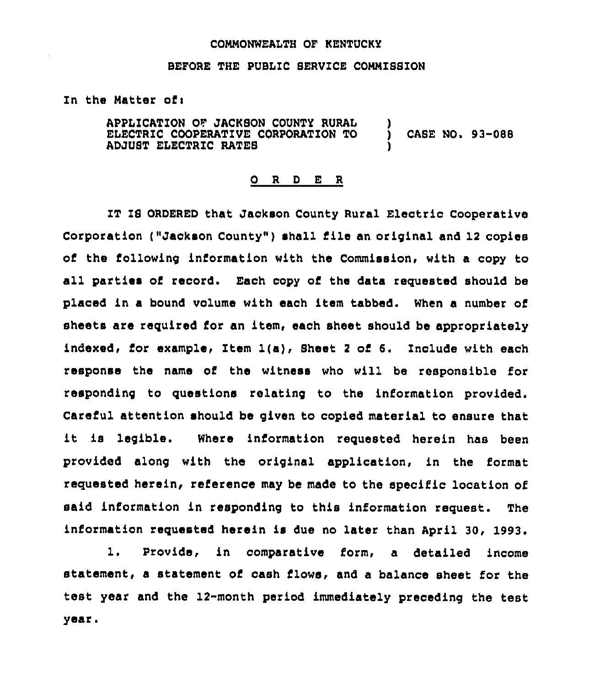### CONNONWEALTH OF KENTUCKY

### BEFORE THE PUBLIC SERVICE COMMISSION

## In the Matter of:

APPLICATION OF JACKSON COUNTY RURAL ELECTRIC COOPERATIVE CORPORATION TO ADJUST ELECTRIC RATES ) ) CASE NO. 93-088 )

## 0 <sup>R</sup> <sup>D</sup> E <sup>R</sup>

IT IS ORDERED that Jackson County Rural Electric Cooperative Corporation ("Jackson County" ) shall file an original and <sup>12</sup> copies of the following information with the Commission, with a copy to all parties of record. Each copy of the data requested should be placed in a bound volume with each item tabbed. When a number of sheets are required for an item, each sheet should be appropriately indexed, for example, Item  $l(a)$ , Sheet 2 of 6. Include with each response the name of the witness who will be responsible for responding to questions relating to the information provided. Careful attention should be given to copied material to ensure that it is legible. Where information requested herein has been provided along with the original application, in the format requested herein, reference may be made to the specific location of said information in responding to this information request. The information requested herein is due no later than April 30, 1993.

1, Provide, in comparative form, a detailed income statement, a statement of cash flows, and a balance sheet for the test year and the 12-month period immediately preceding the test year <sup>~</sup>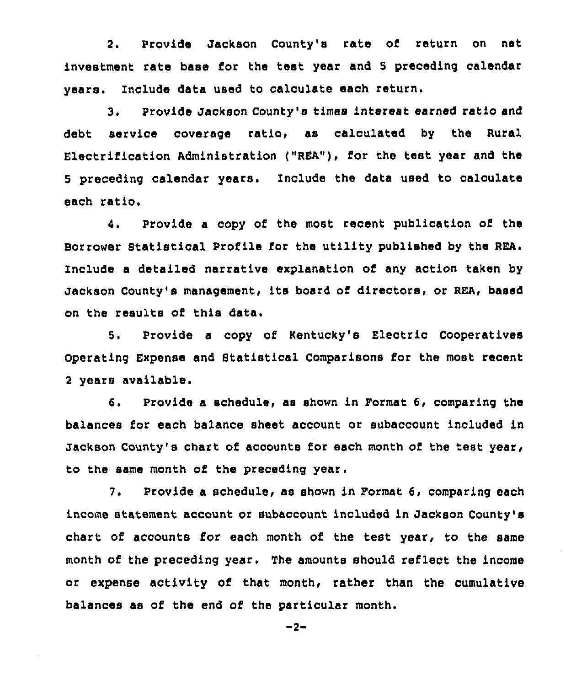2. Provide Jackson County's rate of return on net investment rate base for the test year and 5 preceding calendar years. Include data used to calculate each return.

3. Provide Jackson County's times interest earned ratio and debt service coverage ratio, as calculated by the Rural Electrification Administration ("REA"), for the test year and the 5 preceding calendar years. Include the data used to calculate each ratio.

4. Provide a copy of the most recent publication of the Borrower Statistical Profile for the utility published by the REA. Include a detailed narrative explanation of any action taken by Jackson County's management, its board of directors, or REA, based on the results of this data.

5. Provide a copy of Kentucky's Electric Cooperatives Operating Expense and Statistical Comparisons for the most recent <sup>2</sup> years available.

6. Provide a schedule, as shown in Format 6, comparing the balances for each balance sheet account or subaccount included in Jackson County's chart of accounts for each month of the test year, to the same month of the preceding year.

7. Provide a schedule, as shown in Format 6, comparing each income statement account or subaccount included in Jackson County's chart of accounts for each month of the test year, to the same month of the preceding year. The amounts should reflect the income or expense activity of that month, rather than the cumulative balances as of the end of the particular month.

 $-2-$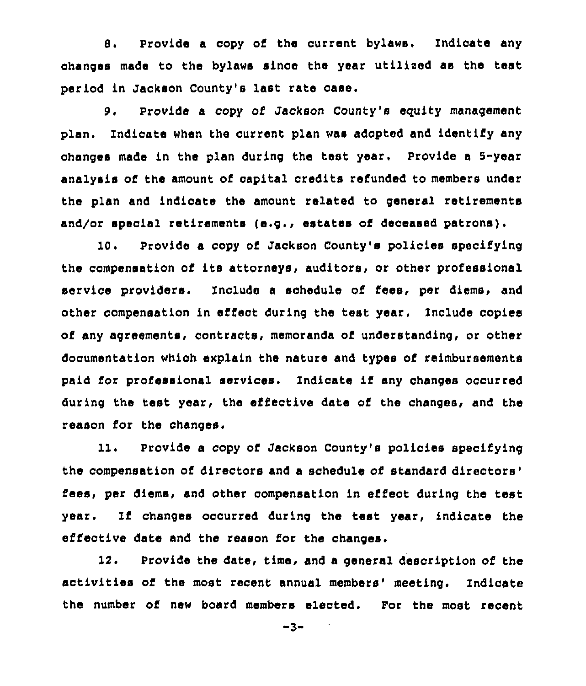8. Provide a copy of the current bylaws, Indicate any changes made to the bylaws since the year utilised as the test period in Jackson County's last rate case.

9. Provide a copy of Jackson County's equity management plan. Indicate when the current plan was adopted and identify any changes made in the plan during the test year. Provide <sup>a</sup> 5-year analysis of the amount of capital credits refunded to members under the plan and indicate the amount related to general retirements and/or special retirements (e.g., estates of deceased patrons).

10. Provide a copy of Jackson County's policies specifying the compensation of its attorneys, auditors, or other professional service providers. Include a schedule of fees, per diems, and other compensation in effect during the test year. Include copies of any agreements, contracts, memoranda of understanding, or other documentation which explain the nature and types of reimbursements paid for professional services. Indicate if any changes occurred during the test year, the effective date of the changes, and the reason for the changes.

11. Provide a copy of Jackson County's policies specifying the compensation of directors and a schedule of standard fees, per diems, and other compensation in effect during the test year. Ii changes occurred during the test year, indicate the effective date and the reason for the changes.

12. Provide the date, time, and a general description of the activities of the most recent annual members' meeting. Indicate the number of new board members elected. For the most recent

 $-3-$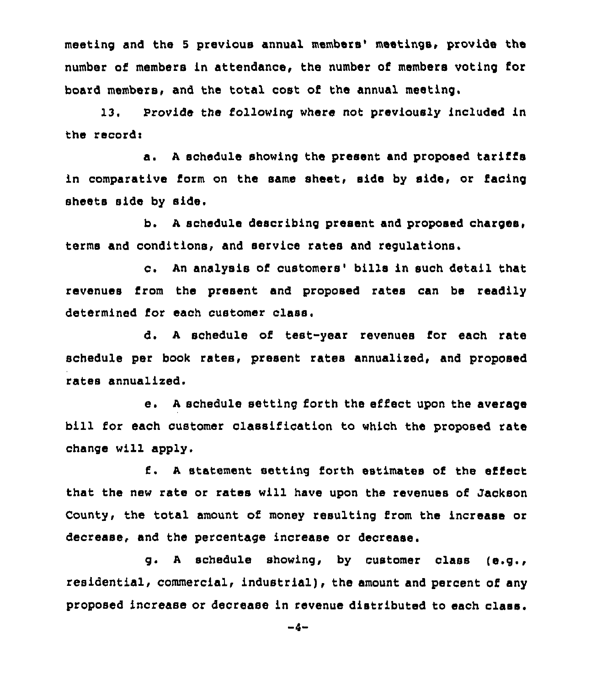meeting and the 5 previous annual members' meetings, provide the number of members in attendance, the number of members voting for board members, and the total cost of the annual meeting.

13. Provide the following where not previously included in the records

a. <sup>A</sup> schedule showing the present and proposed tariffs in comparative form on the same sheet, side by side, or facing sheets side by sids.

b. <sup>A</sup> schedule describing present and proposed charges, terms and conditions, and service rates and regulations.

c. An analysis of customers' bills in such detail that revenues from the present and proposed rates can be readily determined for each customer class.

d. <sup>A</sup> schedule of test-year revenues for each rate schedule per book rates, present rates annualized, and proposed rates annualized.

e. A schedule setting forth the effect upon the average bill for each customer classification to which the proposed rate change will apply.

<sup>A</sup> statement setting forth estimates of the effect that the new rate or rates will have upon the revenues of Jackson County, the total amount of money resulting from the increase or decrease, and the percentage increase or decrease.

g. <sup>A</sup> schedule showing, by customer class (e.g., residential, commercial, industrial), the amount and percent of any proposed Increase or decrease in revenue distributed to each class.

 $-4-$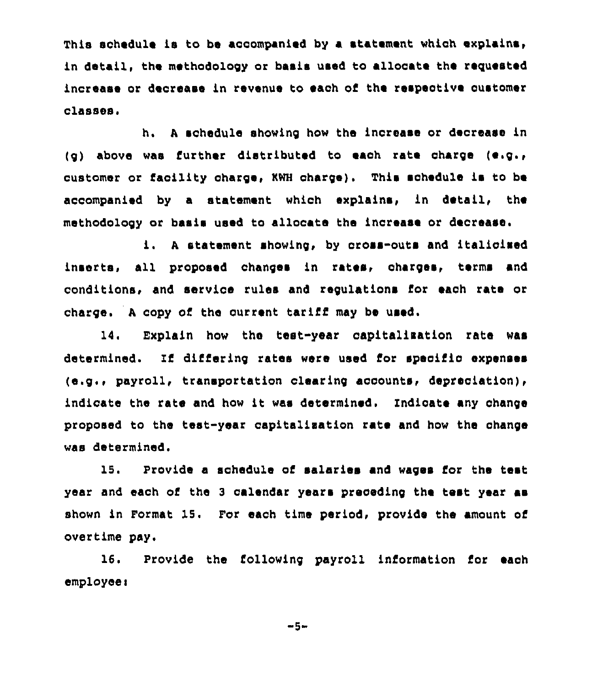This schedule is to be accompanied by a statement which explains, in detail, the methodology or basis used to allocate the requested increase or decrease in revenue to each of the respective oustomer classes.

h. <sup>A</sup> schedule showing how the increase or decrease in (g) above was further distributed to eaoh rate charge (e.g., customer or facility charge, KWH charge). This schedule is to be accompanied by a statement which explains, in detail, the methodology or basis used to allocate the increase or decrease.

i. <sup>A</sup> statement showing, by oross-outs and italicised inserts, all proposed changes in rates, charges, terms and conditions< and service rules and regulations for each rate or charge. <sup>A</sup> copy of the current tariff may be used.

14. Explain how the test-year capitalisation rate was determined. Tf differing rates were used for specific expenses (e.g.> payroll, transportation clearing accounts< depreciation), indicate the rate and how it was determined. Indicate any change proposed to the test-year capltalisation rate and how the ohange was determined.

15. Provide a schedule of salaries and wages for the test year and each of the <sup>3</sup> calendar years preceding the test year as shown in Format 15. For each time period, provide the amount of overtime pay,

16. Provide the following payroll information for each employee i

-5-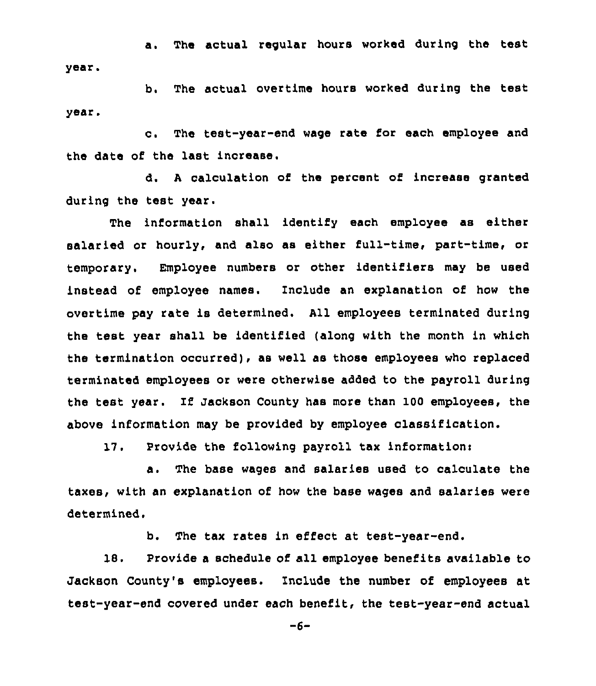a. The actual regular hours worked during the test year.

b. The actual overtime hours worked during the test year.

c. The test-year-end wage rate for each employee and the date of the last increase.

d. <sup>A</sup> calculation of the percent of increase granted during the test year.

The information shall identify each employee as either salaried or hourly, and also as either full-time, part-time, or temporary. Employee numbers or other identifiers may be used instead of employee names. Include an explanation of how the overtime pay rate is determined. All employees terminated during the test year shall be identified (along with the month in which the termination occurred), as well as those employees who replaced terminated employees or were otherwise added to the payroll during the test year. If Jackson County has more than 100 employees, the above information may be provided by employee classification.

17. Provide the following payroll tax information:

a. The base wages and salaries used to calculate the taxes, with an explanation of how the base wages and salaries were determined.

b. The tax rates in effect at test-year-end.

18. Provide a schedule of all employee benefits available to Jackson County's employees. Include the number of employees at test-year-end covered under each benefit, the test-year-end actual

-6-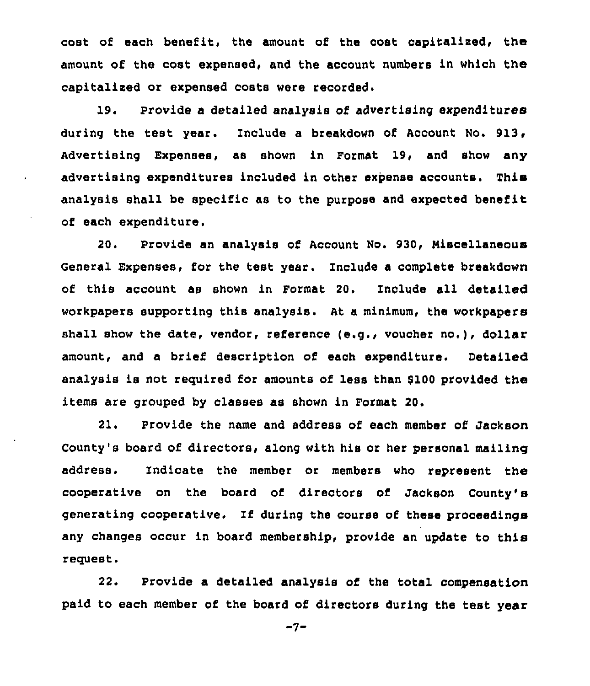cost ot each benefit, the amount of the cost capitalised, the amount of the cost expensed, and the account numbers in which the capitalised or expensed costs were recorded.

19. Provide a detailed analysis of advertising expenditures during the test year. Include a breakdown of Account No. 913, Advertising Expenses, as shown in Format 19, and show any advertising expenditures included in other expense accounts. This analysis shall be specific as to the purpose and expected benefit of each expenditure,

20. Provide an analysis of Account No. 930, Miscellaneous General Expenses, for the test year. Include a complete breakdown of this account as shown in Format 20. Include all detailed workpapers supporting this analysis. At a minimum, the workpapers shall show the date, vendor, reference (e.g., voucher no.), dollar amount, and a brief description of each expenditure. Detailed analysis is not required for amounts of less than 9100 provided the items are grouped by classes as shown in Format 20.

21. provide the name and address of each member of Jackson County's board of directors, along with his or her personal mailing address. Indicate the member or members who represent the cooperative on the board of directors of Jackson County' generating cooperative. If during the course of these proceedinga any changes occur in board membership, provide an update to this request.

22. Provide a detailed analysis of the total compensation paid to each member of the board of directors during the test year

 $-7-$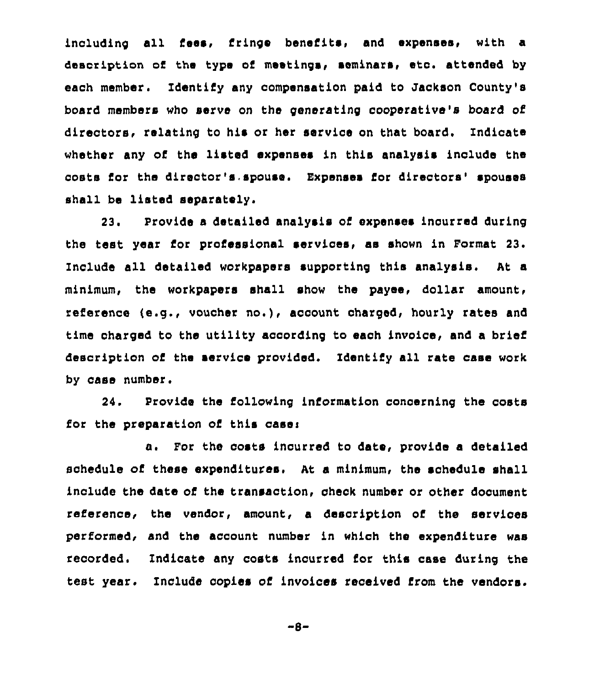including all fees, fringe benefits, and expenses, with a description of the type of meetings, seminars, eto. attended by each member. Identify any compensation paid to Jackson County's board members who serve on the generating cooperative's board of directors, relating to his or her service on that board. Indicate whether any of the listed expenses in this analysis include the costs for the director's.spouse. Expenses for directors'pouses shall be listed separately.

23. Provide a detailed analysis of expenses incurred during the test year for professional services, as shown in Format 23. Include all detailed workpapers supporting this analysis. At a minimum, the workpapers shall show the payee, dollar amount, reference (e.g., voucher no.), account charged, hourly rates and time charged to the utility according to each invoice, and a brief description of the service provided. Identify all rate case work by case number.

24. Provide the following information concerning the costs for the preparation of this case:

a. For the costs incurred to date, provide a detailed schedule of these expenditures. At a minimum, the schedule shall include the date of the transaction, check number or other document reference, the vendor, amount, a description of the services performed, and the account number in which the expenditure was recorded. Indicate any costs incurred for this case during the test year. Include copies of invoices received from the vendors.

"8-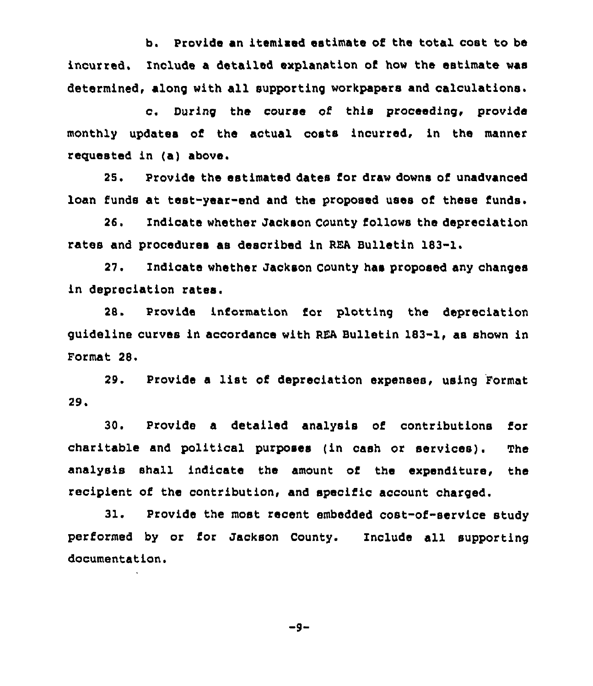b. Provide an itemised estimate of the total cost to be incurred. Include a detailed explanation of how the estimate was determined, along with all supporting workpapers and calculations.

c. During the course of this proceeding, provide monthly updates of the actual costs incurred, in the manner reguested in (a) above.

25. Provide the estimated dates for draw downs of unadvanced loan funds at test-year-end and the proposed uses of these funds.

26. Indicate whether Jackson County follows the depreciation rates and procedures as described in REA Bulletin 183-1.

27. Indicate whether Jackson County has proposed any changes in depreciation rates.

28. Provide information for plotting the depreciation guideline curves in accordance with REA Bulletin 183-1, as shown in Format 28.

29. Provide <sup>a</sup> list of depreciation expenses, using Format 29.

30. Provide a detailed analysis of contributions for charitable and political purposes (in cash or services). The analysis shall indicate the amount of the expenditure, the recipient of the contribution, and specific account charged.

31. Provide the most recent embedded cost-of-service study performed by or for Jackson County. Include all supporting documentation.

 $-9-$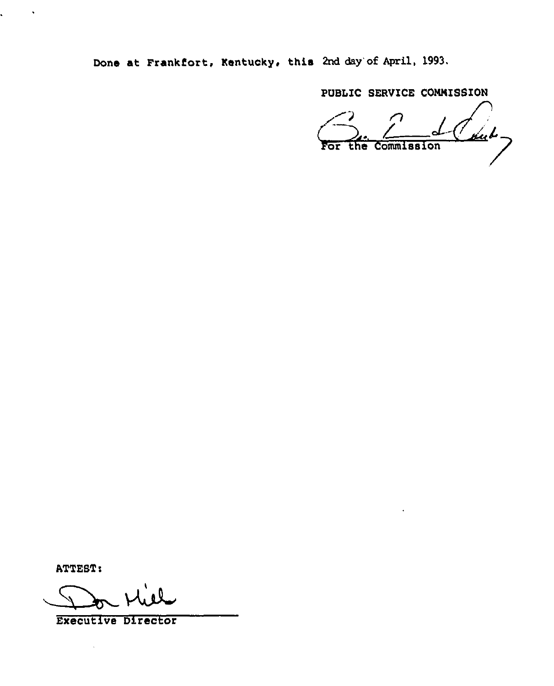Done at Frankfort, Kentucky, this 2nd day'of April, 1993.

PUBLIC SERVICE COMNISSION

 $164$ For the Commission

ATTEST)

 $\mathcal{L} = \mathcal{L} \times \mathcal{L}$ 

Mill

Executive Director

 $\ddot{\phantom{a}}$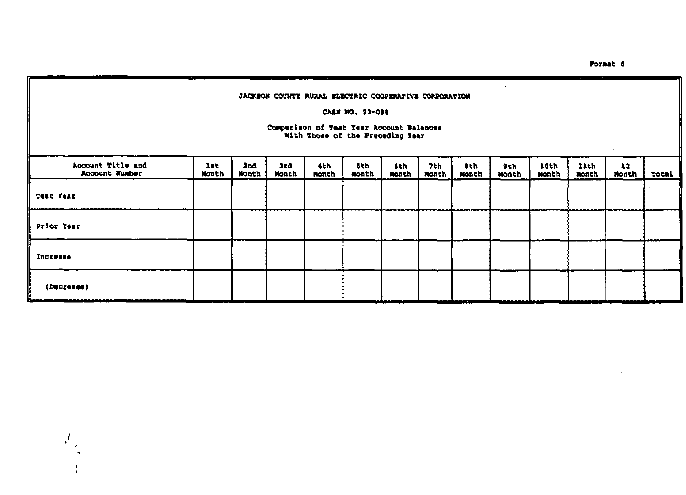$\mathcal{A}^{\mathcal{A}}$ 

### JACKSON COUNTY RURAL ELECTRIC COOPERATIVE CORPORATION

### CASE NO. 93-088

# Comparison of Test Year Account Balances<br>With Those of the Preceding Year

| Account Title and<br>Account Number | lst.<br>Nonth | 2nd<br>Month | 3rd<br>Nonth | 4th<br>Nonth | 5th<br><b>Nonth</b> | 6th<br><b>Nonth</b> | 7th<br>Nonth      | Ith.<br><b>Nonth</b> | 9th<br><b>Nonth</b> | 10th<br>Nonth | 11th<br>Month | 12<br>Month | Total |
|-------------------------------------|---------------|--------------|--------------|--------------|---------------------|---------------------|-------------------|----------------------|---------------------|---------------|---------------|-------------|-------|
| Test Year                           |               |              |              |              |                     |                     | <b>COLLECTION</b> |                      |                     |               |               |             |       |
| Prior Year                          |               |              |              |              |                     |                     |                   |                      |                     |               |               |             |       |
| Increase                            |               |              |              |              |                     |                     |                   |                      |                     |               |               |             |       |
| (Decrease)                          |               |              |              |              |                     |                     |                   |                      |                     |               |               |             |       |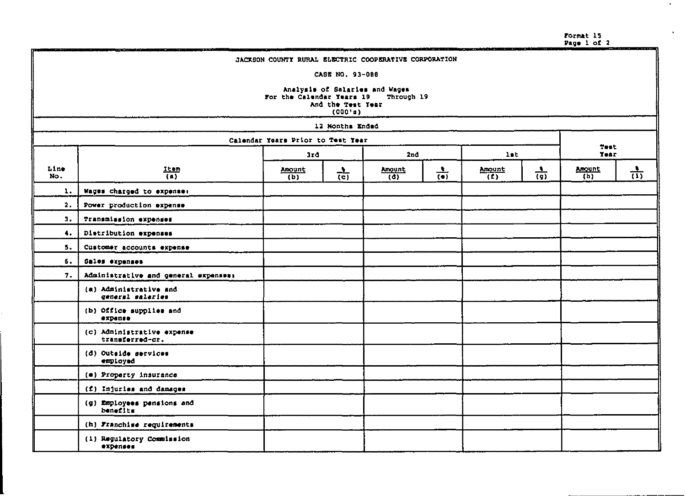Format 15<br>Page 1 of 2

 $\bullet$  .

 $\bullet$ 

|             | MANAKAMANA KANANG MANAHANA MASA MASA PERANJAAN KANANG MANAHANA KANANG MANAHANA KANANG MANAHANA KANANG MANAHANA<br><b>BEACH START</b><br>JACKSON COUNTY RURAL ELECTRIC COOPERATIVE CORPORATION |                                   |                 |               |                 |               |                 |               |                 |
|-------------|-----------------------------------------------------------------------------------------------------------------------------------------------------------------------------------------------|-----------------------------------|-----------------|---------------|-----------------|---------------|-----------------|---------------|-----------------|
|             | CASE NO. 93-088                                                                                                                                                                               |                                   |                 |               |                 |               |                 |               |                 |
|             | Analysis of Salaries and Wages<br>For the Calendar Years 19<br>Through 19<br>And the Test Year<br>(000'n)                                                                                     |                                   |                 |               |                 |               |                 |               |                 |
|             |                                                                                                                                                                                               |                                   | 12 Nonths Ended |               |                 |               |                 |               |                 |
|             |                                                                                                                                                                                               | Calendar Years Prior to Test Year |                 |               |                 |               |                 | Test          |                 |
|             |                                                                                                                                                                                               | 3rd                               |                 | 2nd           |                 | 1st           |                 | Year          |                 |
| Line<br>No. | Item<br>$\overline{(\bullet)}$                                                                                                                                                                | Amount<br>(b)                     | $\frac{1}{(c)}$ | Amount<br>(d) | $\frac{1}{(•)}$ | Amount<br>(2) | $\frac{1}{(9)}$ | Amount<br>(h) | $\frac{1}{(1)}$ |
| 1.          | Wages charged to expense:                                                                                                                                                                     |                                   |                 |               |                 |               |                 |               |                 |
| 2.          | Power production expense                                                                                                                                                                      |                                   |                 |               |                 |               |                 |               |                 |
| з.          | Transmission expenses                                                                                                                                                                         |                                   |                 |               |                 |               |                 |               |                 |
| 4.          | Diatribution expenses                                                                                                                                                                         |                                   |                 |               |                 |               |                 |               |                 |
| 5.          | Customer accounts expense                                                                                                                                                                     |                                   |                 |               |                 |               |                 |               |                 |
| δ.          | Sales expenses                                                                                                                                                                                |                                   |                 |               |                 |               |                 |               |                 |
| 7.          | Administrative and general expenses:                                                                                                                                                          |                                   |                 |               |                 |               |                 |               |                 |
|             | (a) Administrative and<br>general salaries                                                                                                                                                    |                                   |                 |               |                 |               |                 |               |                 |
|             | (b) Office supplies and<br>expense                                                                                                                                                            |                                   |                 |               |                 |               |                 |               |                 |
|             | (c) Administrative expense<br>transferred-cr.                                                                                                                                                 |                                   |                 |               |                 |               |                 |               |                 |
|             | (d) Outside services<br>employed                                                                                                                                                              |                                   |                 |               |                 |               |                 |               |                 |
|             | (e) Property insurance                                                                                                                                                                        |                                   |                 |               |                 |               |                 |               |                 |
|             | (f) Injuries and damages                                                                                                                                                                      |                                   |                 |               |                 |               |                 |               |                 |
|             | (g) Employees pensions and<br>benefits                                                                                                                                                        |                                   |                 |               |                 |               |                 |               |                 |
|             | (h) Franchise requirements                                                                                                                                                                    |                                   |                 |               |                 |               |                 |               |                 |
|             | (i) Regulatory Commission<br>expenses                                                                                                                                                         |                                   |                 |               |                 |               |                 |               |                 |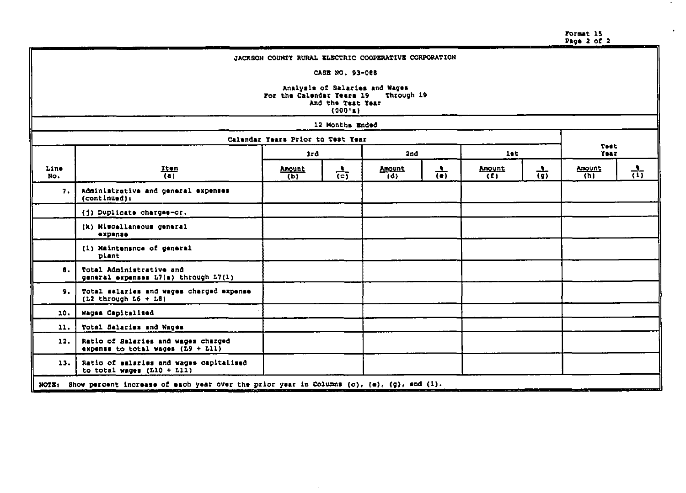Format 15<br>Page 2 of 2

 $\sim$ 

 $\cdot$ 

|             | JACKSON COUNTY RURAL ELECTRIC COOPERATIVE CORPORATION                                                     |                                   |                 |               |                 |               |                 |                     |     |
|-------------|-----------------------------------------------------------------------------------------------------------|-----------------------------------|-----------------|---------------|-----------------|---------------|-----------------|---------------------|-----|
|             | CASE NO. 93-068                                                                                           |                                   |                 |               |                 |               |                 |                     |     |
|             | Analysis of Salaries and Wages<br>For the Calendar Years 19<br>Through 19<br>And the Test Year<br>(000's) |                                   |                 |               |                 |               |                 |                     |     |
|             |                                                                                                           |                                   | 12 Months Ended |               |                 |               |                 |                     |     |
|             |                                                                                                           | Calendar Years Prior to Test Year |                 |               |                 |               |                 |                     |     |
|             |                                                                                                           | 3rd                               |                 | 2nd           |                 | let.          |                 | <b>Test</b><br>Year |     |
| Line<br>No. | $\frac{1 \text{ term}}{(\text{a})}$                                                                       | Amount<br>(b)                     | $rac{1}{(c)}$   | Amount<br>(d) | $\frac{1}{(n)}$ | Amount<br>(1) | $\frac{1}{(9)}$ | Amount<br>(h)       | तेर |
| 7.          | Administrative and general expenses<br>(continued):                                                       |                                   |                 |               |                 |               |                 |                     |     |
|             | (j) Duplicate charges-or.                                                                                 |                                   |                 |               |                 |               |                 |                     |     |
|             | (k) Miscellaneous general<br>expense                                                                      |                                   |                 |               |                 |               |                 |                     |     |
|             | (1) Maintensnce of general<br>plant                                                                       |                                   |                 |               |                 |               |                 |                     |     |
| 8.          | Total Administrative and<br>general expenses L7(a) through L7(1)                                          |                                   |                 |               |                 |               |                 |                     |     |
| 9.          | Total salaries and wages charged expense<br>$(L2$ through $L6 + L8$ )                                     |                                   |                 |               |                 |               |                 |                     |     |
| 10.         | Wages Capitalized                                                                                         |                                   |                 |               |                 |               |                 |                     |     |
| 11.         | Total Salaries and Wages                                                                                  |                                   |                 |               |                 |               |                 |                     |     |
| 12.         | Ratio of Balaries and wages charged<br>expense to total wages $(L9 + L11)$                                |                                   |                 |               |                 |               |                 |                     |     |
| 13.         | Ratio of salaries and wages capitalised<br>to total wages $(L10 + L11)$                                   |                                   |                 |               |                 |               |                 |                     |     |
|             | NOTE: Show percent increase of each year over the prior year in Columns (c), (e), (g), and (i).           |                                   |                 |               |                 |               |                 |                     |     |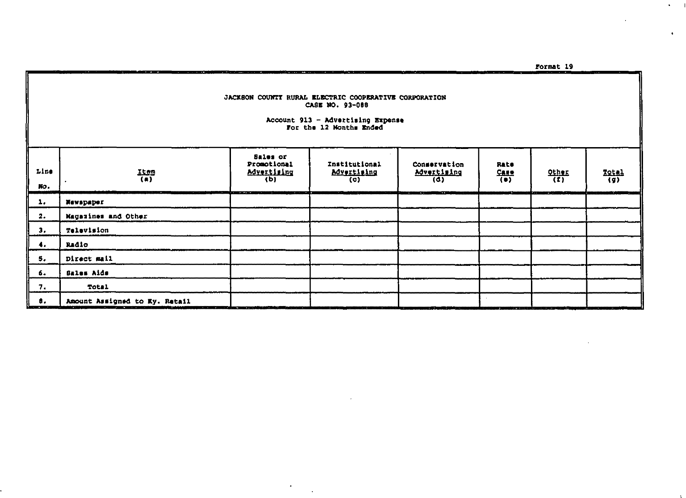$\bullet$  -  $\bullet$  -  $\bullet$ 

 $\mathbf{A}^{\mathrm{eff}}$ 

#### JACKSON COUNTI RURAL ELECTRIC COOPERATIVE CORPORATION CASE NO. 93-088

÷

--

diameter and company

 $\sim$ 

 $\Delta$ 

# Account 913 - Advertising Expense<br>For the 12 Months Ended

| Line<br>No.   | $\frac{1500}{(a)}$            | Sales or<br>Promotional<br><b>Advertising</b><br>(b)<br>-----<br>-- | Institutional<br><b>Advertising</b><br>(c) | Conservation<br>Advertising<br>(d)<br>œ<br>n village | Rate<br>$\frac{C_{\text{A},\text{I},\text{S}}}{\left(\bullet\right)}$ | $\frac{QL \ln \epsilon}{\epsilon}$<br>فالتناوي | $\frac{1}{2}$ |
|---------------|-------------------------------|---------------------------------------------------------------------|--------------------------------------------|------------------------------------------------------|-----------------------------------------------------------------------|------------------------------------------------|---------------|
| ı,            | Newspaper                     |                                                                     |                                            |                                                      |                                                                       |                                                |               |
| $\mathbf{2.}$ | Magazines and Other           |                                                                     |                                            |                                                      |                                                                       |                                                |               |
| з.            | Television                    |                                                                     |                                            |                                                      |                                                                       |                                                |               |
| . .           | R#dio                         |                                                                     |                                            |                                                      |                                                                       |                                                |               |
| s.            | Direct mail                   |                                                                     |                                            |                                                      |                                                                       |                                                |               |
| 6.            | <b>Bales Aids</b>             |                                                                     |                                            |                                                      |                                                                       |                                                |               |
| 7.            | Total                         |                                                                     |                                            |                                                      |                                                                       |                                                |               |
| а.            | Amount Assigned to Ky. Retail |                                                                     |                                            |                                                      |                                                                       |                                                |               |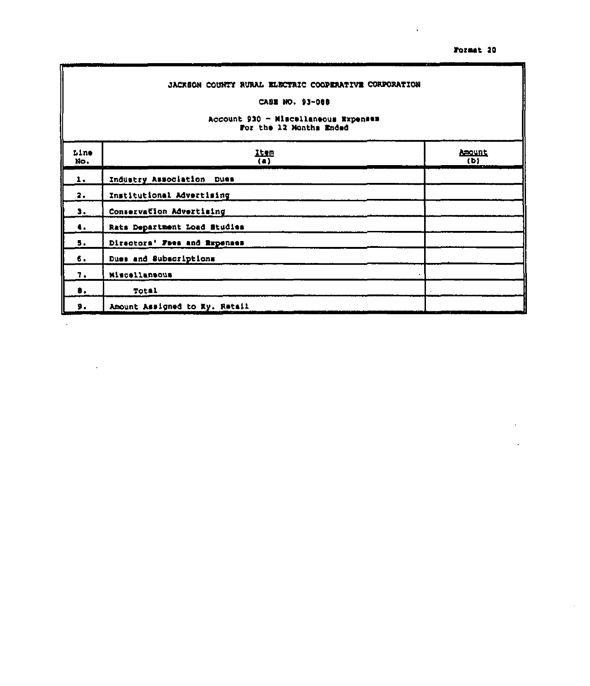$\bar{z}$ 

|                | JACKSON COUNTY RURAL ELECTRIC COOPERATIVE CORPORATION<br>CASE NO. 93~088<br>Account 930 - Miscellaneous Expenses<br>For the 12 Months Ended |                      |  |  |  |  |  |
|----------------|---------------------------------------------------------------------------------------------------------------------------------------------|----------------------|--|--|--|--|--|
| Line<br>No.    | <b>ILIB</b><br>$\overline{(\bullet)}$                                                                                                       | <b>Amount</b><br>(D) |  |  |  |  |  |
| $\mathbf{1}$ . | Industry Association Dues                                                                                                                   |                      |  |  |  |  |  |
| $\mathbf{2.}$  | Institutional Advertising                                                                                                                   |                      |  |  |  |  |  |
| з.             | Conservation Advertising                                                                                                                    |                      |  |  |  |  |  |
| 4.             | Rats Department Load Studies                                                                                                                |                      |  |  |  |  |  |
| 5.             | Directors' Foes and Expenses                                                                                                                |                      |  |  |  |  |  |
| б.             | Dues and Subscriptions                                                                                                                      |                      |  |  |  |  |  |
| 7.             | Miscellansous                                                                                                                               |                      |  |  |  |  |  |
| θ.             | Total                                                                                                                                       |                      |  |  |  |  |  |
| 9.             | Amount Assigned to Ky. Retail                                                                                                               |                      |  |  |  |  |  |

 $\Box$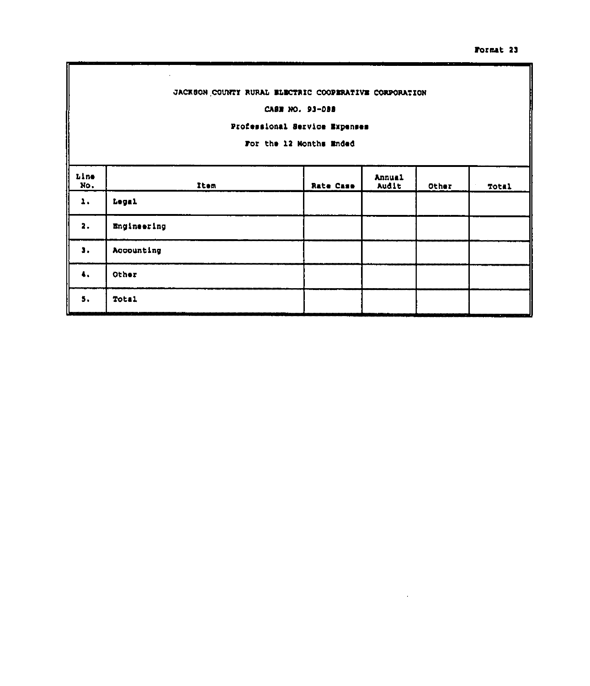# JACKSON COUNTY RURAL ELECTRIC COOPERATIVE CORPORATION

### CASE NO. 93-088

### Professional Service Expenses

For the 12 Months Ended

| Line<br>No. | Item            | <b>Rate Case</b> | Annual<br>Audit | Other | Total |
|-------------|-----------------|------------------|-----------------|-------|-------|
| 1.          | Legal           |                  |                 |       |       |
| 2.          | Engineering     |                  |                 |       |       |
| з.          | Accounting      |                  |                 |       |       |
| 4.          | Other           |                  |                 |       |       |
| ь.          | Total<br>$\sim$ |                  |                 |       |       |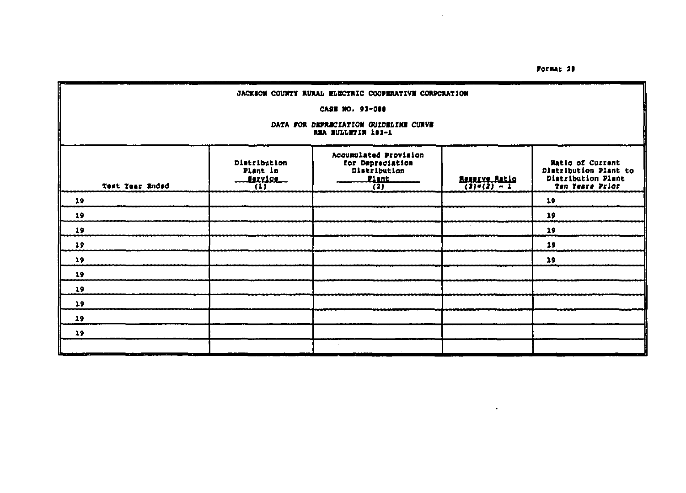$\bullet$ 

 $\cdot$ 

| JACKSON COUNTY RURAL ELECTRIC COOPERATIVE CORPORATION                                                                                                                                                                                                                                                |                                                                    |  |  |    |  |  |  |  |
|------------------------------------------------------------------------------------------------------------------------------------------------------------------------------------------------------------------------------------------------------------------------------------------------------|--------------------------------------------------------------------|--|--|----|--|--|--|--|
|                                                                                                                                                                                                                                                                                                      | CASE NO. 93-000                                                    |  |  |    |  |  |  |  |
|                                                                                                                                                                                                                                                                                                      | DATA FOR DEFRECIATION GUIDELINE CURVE<br><b>NEA BULLETIN 103-1</b> |  |  |    |  |  |  |  |
| Accumulated Provision<br>Distribution<br><b>Ratio of Current</b><br>for Depreciation<br>Distribution<br>Distribution Plant to<br>Plant in<br>Distribution Plant<br><u> Nexylce </u><br>.Plant.<br><b>Reserve Ratio</b><br>(3)=(2) = 2<br>Test Year Ended<br>Ten Tears Prior<br>(1)<br>$\overline{1}$ |                                                                    |  |  |    |  |  |  |  |
| 19                                                                                                                                                                                                                                                                                                   |                                                                    |  |  | 19 |  |  |  |  |
| 19                                                                                                                                                                                                                                                                                                   |                                                                    |  |  | 19 |  |  |  |  |
| 19                                                                                                                                                                                                                                                                                                   |                                                                    |  |  | 19 |  |  |  |  |
| 19                                                                                                                                                                                                                                                                                                   |                                                                    |  |  | 19 |  |  |  |  |
| 19                                                                                                                                                                                                                                                                                                   |                                                                    |  |  | 19 |  |  |  |  |
| 19                                                                                                                                                                                                                                                                                                   |                                                                    |  |  |    |  |  |  |  |
| 19                                                                                                                                                                                                                                                                                                   |                                                                    |  |  |    |  |  |  |  |
| 19                                                                                                                                                                                                                                                                                                   |                                                                    |  |  |    |  |  |  |  |
| 19                                                                                                                                                                                                                                                                                                   |                                                                    |  |  |    |  |  |  |  |
| 19                                                                                                                                                                                                                                                                                                   |                                                                    |  |  |    |  |  |  |  |
|                                                                                                                                                                                                                                                                                                      |                                                                    |  |  |    |  |  |  |  |